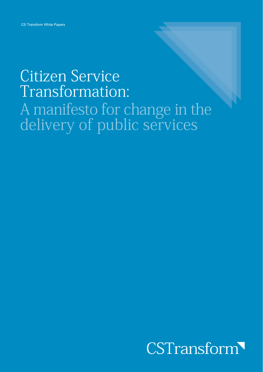# **Citizen Service** Transformation: A manifesto for change in the<br>delivery of public services

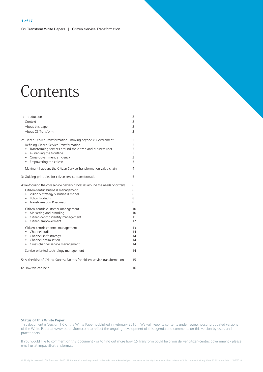# Contents

| 1: Introduction<br>Context<br>About this paper<br>About CS Transform                                                                                                                                                                                                                                                                                                | 2<br>2<br>$\overline{2}$<br>$\overline{2}$    |
|---------------------------------------------------------------------------------------------------------------------------------------------------------------------------------------------------------------------------------------------------------------------------------------------------------------------------------------------------------------------|-----------------------------------------------|
| 2: Citizen Service Transformation - moving beyond e-Government<br>Defining Citizen Service Transformation<br>Transforming services around the citizen and business user<br>$\bullet$<br>• e-Enabling the frontline<br>• Cross-government efficiency<br>• Empowering the citizen                                                                                     | 3<br>3<br>3<br>3<br>3<br>3                    |
| Making it happen: the Citizen Service Transformation value chain                                                                                                                                                                                                                                                                                                    | 4                                             |
| 3: Guiding principles for citizen service transformation                                                                                                                                                                                                                                                                                                            | 5                                             |
| 4: Re-focusing the core service delivery processes around the needs of citizens<br>Citizen-centric business management<br>• Vision $>$ strategy $>$ business model<br>• Policy Products<br>• Transformation Roadmap<br>Citizen-centric customer management<br>Marketing and branding<br>$\bullet$<br>• Citizen-centric identity management<br>• Citizen empowerment | 6<br>6<br>6<br>8<br>8<br>10<br>10<br>11<br>12 |
| Citizen-centric channel management<br>• Channel audit<br>• Channel shift strategy<br>• Channel optimisation<br>• Cross-channel service management                                                                                                                                                                                                                   | 13<br>14<br>14<br>14<br>14                    |
| Service-oriented technology management                                                                                                                                                                                                                                                                                                                              | 14                                            |
| 5: A checklist of Critical Success Factors for citizen service transformation                                                                                                                                                                                                                                                                                       | 15                                            |
| 6: How we can help                                                                                                                                                                                                                                                                                                                                                  | 16                                            |

#### **Status of this White Paper**

This document is Version 1.0 of the White Paper, published in February 2010. We will keep its contents under review, posting updated versions of the White Paper at www.cstransform.com to reflect the ongoing development of this agenda and comments on this version by users and practitioners.

If you would like to comment on this document - or to find out more how CS Transform could help you deliver citizen-centric government - please email us at impact@cstransform.com.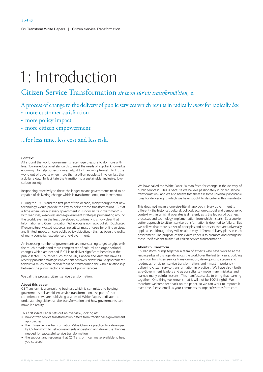# 1: Introduction

# Citizen Service Transformation sit'izan sûr'vis transformā'tion, n

A process of change to the delivery of public services which results in radically *more* for radically *less*:

- · more customer satisfaction
- more policy impact
- · more citizen empowerment

...for less time, less cost and less risk.

#### Context

All around the world, governments face huge pressure to do more with less. To raise educational standards to meet the needs of a global knowledge economy. To help our economies adjust to financial upheaval. To lift the world out of poverty when more than a billion people still live on less than a dollar a day. To facilitate the transition to a sustainable, inclusive, lowcarbon society

Responding effectively to these challenges means governments need to be capable of delivering change which is transformational, not incremental.

During the 1990s and the first part of this decade, many thought that new technology would provide the key to deliver these transformations. But at a time when virtually every government in is now an "e-government" with websites, e-services and e-government strategies proliferating around the world, even in the least developed countries - it is now clear that Information and Communication Technology is no magic bullet. Duplicated IT expenditure, wasted resources, no critical mass of users for online services. and limited impact on core public policy objectives - this has been the reality of many countries' experience of e-Government.

An increasing number of governments are now starting to get to grips with the much broader and more complex set of cultural and organisational changes which are needed if ICT is to deliver significant benefits in the public sector. Countries such as the UK, Canada and Australia have all recently published strategies which shift decisively away from "e-government" towards a much more radical focus on transforming the whole relationship between the public sector and users of public services.

We call this process: citizen service transformation.

#### About this paper

CS Transform is a consulting business which is committed to helping governments deliver citizen service transformation. As part of that commitment, we are publishing a series of White Papers dedicated to understanding citizen service transformation and how governments can make it a reality.

This first White Paper sets out an overview, looking at:

- how citizen service transformation differs from traditional e-government annroaches
- the Citizen Service Transformation Value Chain a practical tool developed by CS Transform to help governments understand and deliver the changes needed for successful service transformation
- the support and resources that CS Transform can make available to help vou succeed.

We have called the White Paper "a manifesto for change in the delivery of public services" This is because we believe passionately in citizen service transformation - and we also believe that there are some universally applicable rules for delivering it, which we have sought to describe in this manifesto.

This does not mean a one-size-fits-all approach. Every government is different - the historical, cultural, political, economic, social and demographic context within which it operates is different, as is the legacy of business processes and technology implementation from which it starts. So a cookiecutter approach to citizen service transformation is doomed to failure. But we believe that there is a set of principles and processes that are universally applicable, although they will result in very different delivery plans in each government. The purpose of this White Paper is to promote and evangelise these "self-evident truths" of citizen service transformation

#### **About CS Transform**

CS Transform brings together a team of experts who have worked at the leading edge of this agenda across the world over the last ten years: building the vision for citizen service transformation: developing strategies and roadmaps for citizen service transformation; and - most importantly delivering citizen service transformation in practice. We have also - both as e-Government leaders and as consultants - made many mistakes and learned many painful lessons. This manifesto seeks to bring that learning together. One thing we know is that it will not be 100% right! We therefore welcome feedback on the paper, so we can work to improve it over time. Please email us your comments to impact@cstransform.com.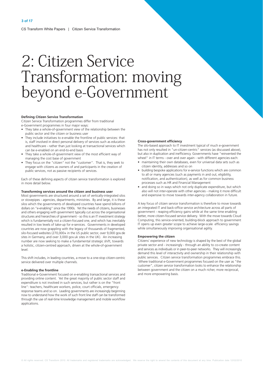# 2: Citizen Service Transformation: moving beyond e-Government

#### **Defining Citizen Service Transformation**

Citizen Service Transformation programmes differ from traditional e-Government programmes in four major ways:

- They take a whole-of-government view of the relationship between the public sector and the citizen or business user
- They include initiatives to e-enable the frontline of public services: that is, staff involved in direct personal delivery of services such as education and healthcare - rather than just looking at transactional services which can be e-enabled on an end-to-end basis
- They take a whole-of-government view of the most efficient way of managing the cost base of government
- They focus on the "citizen" not the "customer". That is, they seek to engage with citizens as owners of and participants in the creation of public services, not as passive recipients of services.

Each of these defining aspects of citizen service transformation is explored in more detail below.

#### Transforming services around the citizen and business user

Most governments are structured around a set of vertically-integrated silos or stovepipes - agencies, departments, ministries. By and large, it is these silos which the governments of developed countries have spend billions of dollars on "e-enabling" since the 1990s. Yet the needs of citizens, businesses and others engaging with government typically cut across the organisational structures and hierarchies of government - so this is an IT investment strategy which is fundamentally not a citizen-focused one, and which has inevitably resulted in low levels of take-up for e-services. Governments in developed countries are now grappling with the legacy of thousands of fragmented, silo-focused websites (270,000+ in the US public sector, over 9,000 gov.de sites in Germany, and over 3,000 gov.uk sites in the UK). An increasing number are now seeking to make a fundamental strategic shift, towards a holistic, citizen-centred approach, driven at the whole-of-government level.

This shift includes, in leading countries, a move to a one-stop citizen-centric service delivered over multiple channels.

#### e-Enabling the frontline

Traditional e-Government focused on e-enabling transactional services and providing online content. Yet the great majority of public sector staff and expenditure is not involved in such services, but rather is on the "front line": teachers, healthcare workers, police, court officials, emergency response teams and so on. Leading governments are increasingly beginning now to understand how the work of such front line staff can be transformed through the use of real-time knowledge management and mobile workflow applications

#### **Cross-government efficiency**

The silo-based approach to IT investment typical of much e-government has not only resulted in "un-citizen-centric" services (as discussed above), but also in duplication and inefficiency. Governments have "reinvented the wheel" in IT terms - over and over again - with different agencies each:

- maintaining their own databases, even for universal data sets such as citizen identity, addresses and so on
- building bespoke applications for e-service functions which are common to all or many agencies (such as payments in and out, eligibility, notification, and authentication), as well as for common business processes such as HR and Financial Management
- and doing so in ways which not only duplicate expenditure, but which also will not inter-operate with other agencies - making it more difficult and expensive to move towards inter-agency collaboration in future.

A key focus of citizen service transformation is therefore to move towards an integrated IT and back-office service architecture across all parts of government - reaping efficiency gains while at the same time enabling better, more citizen-focused service delivery. With the move towards Cloud Computing, this service-oriented, building-block approach to government IT opens up even greater scope to achieve large-scale efficiency savings while simultaneously improving organisational agility.

#### **Empowering the citizen**

Citizens' experience of new technology is shaped by the best of the global private sector and - increasingly - through an ability to co-create content and services as individuals or in peer-to-peer networks. They will increasingly demand this level of interactivity and ownership in their relationship with public services. Citizen service transformation programmes embrace this. Where traditional e-Government programmes focused on the user as "the customer", citizen service transformation looks to enhance the relationship between government and the citizen on a much richer, more reciprocal, and more empowering basis.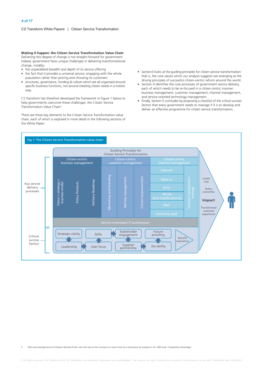Making it happen: the Citizen Service Transformation Value Chain

Delivering this degree of change is not straight-forward for government. Indeed, government faces unique challenges in delivering transformational change, notably:

- the unparalleled breadth and depth of its service offering
- the fact that it provides a universal service, engaging with the whole population rather than picking and choosing its customers
- structures, governance, funding & culture which are all organised around specific business functions, not around meeting citizen needs in a holistic way.

CS Transform has therefore developed the framework in Figure 1 below to help governments overcome these challenges: the Citizen Service Transformation Value Chain<sup>2</sup>.

There are three key elements to the Citizen Service Transformation value chain, each of which is explored in more detail in the following sections of the White Paper:

- Section3 looks at the quiding principles for citizen service transformation: that is, the core values which our analysis suggests are emerging as the driving principles of successful citizen-centric reform around the world.
- Section 4 identifies the core processes of government service delivery, each of which needs to be re-focused in a citizen-centric manner: business management, customer management, channel management, and service-oriented technology management.
- Finally, Section 5 concludes by proposing a checklist of the critical success factors that every government needs to manage if it is to develop and deliver an effective programme for citizen service transformation.



With acknowledge ment to Professor Michael Porter, who first set out the concept of a value chain as a framework for analysis in his 1980 book "Competitive Advantage'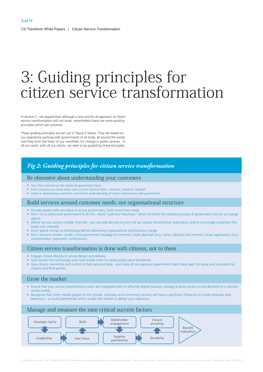# 3: Guiding principles for citizen service transformation

In section 2, we argued that, although a one-size-fits all approach to citizen service transformation will not work, nevertheless there are some guiding principles which are universal.

These guiding principles are set out in Figure 2 below. They are based on our experience working with governments of all kinds, all around the world, and they form the heart of our manifesto for change in public services. In all our work, with all our clients, we seek to be guided by these principles.

# Fig 2: Guiding principles for citizen service transformation

## Be obsessive about understanding your customers

- Own the customer at the whole-of-government level
- Don't assume you know what users of your services think research, research, research
- Invest in developing a real-time, event-level understanding of citizen interactions with government

# Build services around customer needs, not organisational structure

- Provide people with one place to access government, built round their needs
- . Don't try to restructure government to do this build "customer franchises" which sit within the existing structure of government and act as change agents
- Deliver services across multiple channels but use web services to join it all up, reduce infrastructure duplication, and to encourage customers into lower cost channels
- Don't spend money on technology before addressing organisational and business change
- Don't reinvent wheels build a cross-government strategy for common citizen data sets (e.g. name, address) and common citizen applications (e.g. authentication, payments, notifications)

## Citizen service transformation is done with citizens, not to them

- Engage citizens directly in service design and delivery
- Give citizens the technology tools that enable them to create public value themselves
- Give citizens ownership and control of their personal data and make all non-personal government data freely open for reuse and innovation by citizens and third parties.

## Grow the market

- Ensure that your service transformation plans are integrated with an effective digital inclusion strategy to build access to and demand for e-services across society
- . Recognise that other market players (in the private, voluntary and community sectors) will have a significant influence on citizen attitudes and behaviour - so build partnerships which enable the market to deliver your objectives.

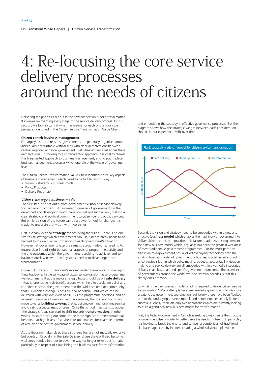# 4: Re-focusing the core service<br>delivery processes<br>around the needs of citizens

Delivering the principles set out in the previous section is not a trivial matter. It involves re-inventing every stage of the service delivery process. In this section, we look in turn at what this means for each of the four core processes identified in the Citizen Service Transformation Value Chain.

#### Citizen-centric business management

For largely historical reasons, governments are generally organised around individually accountable vertical silos with clear demarcations between central, regional, and local government. Yet citizens' needs cut across these demarcations. In moving to a citizen-centric approach, it is vital to redress this fragmented approach to business management, and to put in place business management processes which operate at the whole-of-government level.

The Citizen Service Transformation Value Chain identifies three key aspects of business management which need to be tackled in this way:

- Vision > strategy > business model
- Policy Products
- · Delivery Roadmap.

#### Vision > strategy > business model

The first step is to set out a cross-government vision of service delivery focused around citizens. An increasing number of governments in the developed and developing world have now set out such a view, making a clear strategic and political commitment to citizen-centric public services. But while a vision of the future can be a powerful tool for change, it is crucial to underpin that vision with two things.

First, a clearly-defined strategy for achieving the vision. There is no onesize-fits all strategy which governments can use since strategy needs to be tailored to the unique circumstances of each government's situation. However, all governments face the same strategic trade-offs: needing to ensure clear line-of-sight between all aspects of programme activity and the end outcomes which the government is seeking to achieve, and to balances quick wins with the key steps needed to drive longer term transformation

Figure 3 illustrates CS Transform's recommended framework for managing these trade-offs. In the early days of citizen service transformation programme, we recommend that the major strategic focus should be on safe delivery - that is, prioritising high benefit actions which help to accelerate belief and confidence across the government and the wider stakeholder community that ICT-enabled change is possible and beneficial - but which can be delivered with very low levels of risk. As the programme develops, and an increasing number of services become available, the strategic focus can move towards **building take-up**: that is, building demand for online services and creating a critical mass of users. Once that critical mass starts to appear, the strategic focus can start to shift towards transformation: in other words, to start driving out some of the more significant transformational benefits that high levels of service take-up enables, for example in terms of reducing the cost of government service delivery.

As the diagram makes clear, these strategic foci are not mutually exclusive, but overlap. Crucially, in the Safe Delivery phase there will also be some vital steps needed in order to pave the way for longer term transformation, particularly in respect of establishing the business case for transformation,

and embedding the strategy in effective governance processes. But the diagram shows how the strategic weight between each consideration should, in our experience, shift over time.



Second, the vision and strategy need to be embedded within a new and effective **business model** which enables the machinery of government to deliver citizen-centricity in practice. It is failure to address this requirement for a new business model which, arguably, has been the greatest weakness of most traditional e-government programmes. For the most part, the transition to e-government has involved overlaying technology onto the existing business model of government: a business model based around unconnected silos - in which policy-making, budgets, accountability, decisionmaking and service delivery are all embedded within a vertically-integrated delivery chain based around specific government functions. The experience of governments around the world over the last two decades is that this simply does not work.

So what is the new business model which is required to deliver citizen service transformation? Many attempts have been made by governments to introduce greater cross-government coordination, but largely these have been "bolted on" to the underlying business model, and hence experience only limited success. Globally, there are only two approaches which are currently looking to build a genuinely new business model for transformation.

First, the Federal government in Canada is seeking to reorganise the structure of government itself in order to better serve the needs of citizens. In particular, it is looking to break the end-to-end service responsibilities of traditional silo-based agencies, by in effect creating a wholesale/retail split within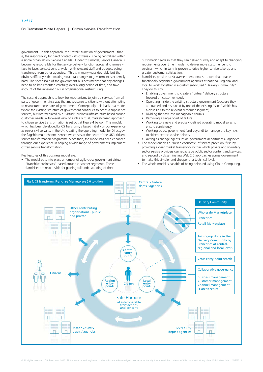government. In this approach, the "retail" function of government - that is, the responsibility for direct contact with citizens - is being centralised within a single organisation: Service Canada. Under this model, Service Canada is becoming responsible for the service delivery function across all channels face-to-face, contact centre, web - with relevant staff and budgets being transferred from other agencies. This is in many ways desirable but the obvious difficulty is that making structural changes to government is extremely hard. The sheer scale of the government business means that any changes need to be implemented carefully, over a long period of time, and take account of the inherent risks in organisational restructuring

The second approach is to look for mechanisms to join-up services from all parts of government in a way that makes sense to citizens, without attempting to restructure those parts of government. Conceptually, this leads to a model where the existing structure of government continues to act as a supplier of services, but intermediated by a "virtual" business infrastructure based around customer needs. A top-level view of such a virtual, market-based approach to citizen service transformation is set out at Figure 4 below. This model, which has been developed by CS Transform, is based initially on our experience as senior civil servants in the UK, creating the operating model for Directgov, the flagship multi-channel service which sits at the heart of the UK's citizen service transformation programme. Since then, the model has been enhanced through our experience in helping a wide range of governments implement citizen service transformation.

Key features of this business model are:

• The model puts into place a number of agile cross-government virtual "franchise businesses" based around customer segments. These franchises are responsible for gaining full understanding of their

customers' needs so that they can deliver quickly and adapt to changing requirements over time in order to deliver more customer centric services - which in turn, is proven to drive higher service take-up and greater customer satisfaction.

- Franchises provide a risk-averse operational structure that enables functionally-organised government agencies at national regional and local to work together in a customer-focused "Delivery Community". They do this by
	- Enabling government to create a "virtual" delivery structure focused on customer needs
	- Operating inside the existing structure government (because they are owned and resourced by one of the existing "silos" which has a close link to the relevant customer segment)
	- Dividing the task into manageable chunks
	- Removing a single point of failure
	- Working to a new and precisely-defined operating model so as to ensure consistency
	- Working across government (and beyond) to manage the key risks to citizen-centric service delivery
	- Acting as change agents inside government departments / agencies.
- The model enables a "mixed economy" of service provision: first, by providing a clear market framework within which private and voluntary sector service providers can repackage public sector content and services; and second by disseminating Web 2.0 approaches across government to make this simpler and cheaper at a technical level.
- The whole model is capable of being delivered using Cloud Computing.

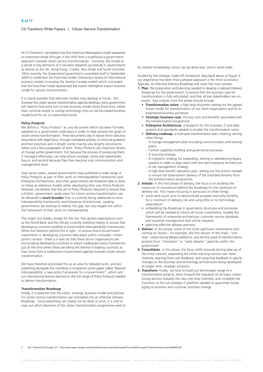At CS Transform, we believe that this Franchise Marketplace model represents an important break-through in the shift from a traditional e-government approach towards citizen service transformation. Certainly, the model as a whole or key elements of it has been adopted successfully in governments as diverse as the UK, Hong Kong, Croatia, Abu Dhabi and South Australia. Most recently, the Queensland government committed itself in September 2009 to implement the Franchise model, following a review of international business models (including the Service Canada model) which concluded that the Franchise model represented the lowest risk/highest impact business model for service transformation.

It is clearly possible that alternate models may develop in future. But however the citizen service transformation agenda develops, every government will need to find some sort of new business model along these lines, rather than continue simply to overlay technology onto an old silo-based business model built for an un-networked world.

#### **Policy Products**

We define a "Policy Product" as: any document which has been formally adopted on a government-wide basis in order to help achieve the goals of citizen service transformation. These documents vary in nature (from statutory documents with legal force, through mandated policies, to informal guidance and best practice) and in length (some may be very lengthy documents; others just a few paragraphs of text). Policy Products are important drivers of change within government: first because the process of producing them, if managed effectively, can help ensure strategic clarity and stakeholder buy-in; and second because they then become vital communication and management tools.

Over recent years, several governments have published a wide range of Policy Products as part of their work on Interoperability Frameworks and Enterprise Architectures, and other governments are therefore able to draw on these as reference models when developing their own Policy Products. However, we believe that the set of Policy Products required to ensure that a holistic, government -wide vision for citizen service transformation can be delivered is **much broader** than is currently being addressed in most Interoperability Frameworks and Enterprise Architectures. Leading governments are starting to redress this gap, but very largely not within the framework of their work on interoperability.

This might not matter, except for the fact that global organisations such as the World Bank and the UN are currently investing heavily to ensure that developing countries establish e-Government Interoperability Frameworks. While the intention behind this is right - to ensure that e-Government investments in developing countries take place within a broader, citizencentric context - there is a real risk that these donor organisations are encouraging developing countries to adopt inadequate policy frameworks just at the time when these are being left behind in leading countries as they move from a traditional e-Government agenda towards citizen service transformation.

We have therefore prioritised this as an area for detailed work, and are publishing alongside this manifesto a companion white paper called "Beyond interoperability: a new policy framework for e-Government", which sets out international lessons learned on the full range of Policy Products needed to deliver transformation.

#### **Transformation Roadmap**

Finally, it is essential that the vision, strategy, business model and policies for citizen service transformation are translated into an effective Delivery Roadmap. Since everything can clearly not be done at once, it is vital to map out which elements of the citizen transformation programme need to be started immediately, which can be done later, and in what order.

Guided by the strategic trade-off framework described above at Figure 3. our experience has been that a phased approach is the most successful. Typically, an effective Delivery Roadmap will cover five main phases.

- 1. Plan: the preparation and planning needed to develop a tailored Delivery Roadmap for the government, to ensure that the business case for transformation is fully articulated, and that all key stakeholders are onboard. Key outputs from this phase should include:
	- Transformation vision: a high level document setting out the agreed future model for transformation of our client organisation and its reengineered business processes
	- Strategic business case: the key costs and benefits associated with the transformation programme
	- **Enterprise Architecture:** a blueprint for the business. IT and data systems and standards needed to enable the transformation vision
	- **Delivery roadmap:** a multi-year transformation plan, covering, among other things:
		- A change management plan (including communication and training plans)
		- Central capability building and governance processes
		- A sourcing strategy
		- A migration strategy for expanding, retiring or abandoning legacy systems in order to align them with the new Enterprise Architecture - A risk management strategy
		- A high level benefit realisation plan, setting out the actions needed to ensure full downstream delivery of the intended benefits from the transformation programme.
- 2. Initiate: in this first phase of delivery, the focus is on building the maximum of momentum behind the Roadmap for the minimum of delivery risk. This means focusing in particular on three things:
	- some early quick wins to demonstrate progress and early benefits, for a minimum of delivery risk and using little or no technology expenditure
	- embedding the Roadmap in governance structures and processes which will be needed to inform all future investments, notably the frameworks of enterprise architecture, customer service standards and issue/risk management that will be required
	- · selecting effective delivery partners.
- 3. Deliver: in this phase, some of the more significant investments start coming on stream - for example, the first version of the major "one stop" citizen-facing delivery platforms, and the first wave of transformation projects from "champion" or "early adopter" agencies within the **COVERNMENT**
- 4. Consolidate: in this phase, the focus shifts towards driving take-up of the initial services, expanding the initial one-stop service over more channels, learning from user feedback, and using that feedback to specify changes to the business and technology architectures being developed as longer term, strategic solutions
- 5. Transform: finally, we look to build out the broader range of etransformation projects, drive forward the migration of all major citizenfacing services towards the new one-stop channels, and complete the transition to the full strategic IT platform needed to guarantee future agility as business and customer priorities change.

See "Toward Q2 through ICT", http://www.qqcio.qld.gov.au/SiteCollectionDocuments/Strategies/TowardQ2throughICTimplementationplan090909.pd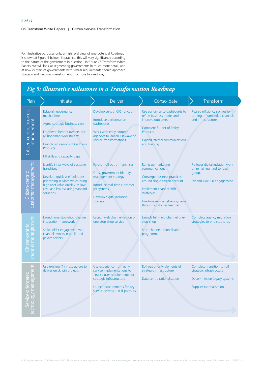For illustrative purposes only, a high level view of one potential Roadmap is shown at Figure 5 below. In practice, this will vary significantly according to the nature of the government in question. In future CS Transform White Papers, we will look at segmenting governments in much more detail, and at how clusters of governments with similar requirements should approach strategy and roadmap development in a more tailored way.

# Fig 5: illustrative milestones in a Transformation Roadmap

| Plan                                       | Initiate                                                                                                                                                                                                                  | <b>Deliver</b>                                                                                                                                                                           | Consolidate                                                                                                                                                                                                     | Transform                                                                                                          |
|--------------------------------------------|---------------------------------------------------------------------------------------------------------------------------------------------------------------------------------------------------------------------------|------------------------------------------------------------------------------------------------------------------------------------------------------------------------------------------|-----------------------------------------------------------------------------------------------------------------------------------------------------------------------------------------------------------------|--------------------------------------------------------------------------------------------------------------------|
| Citizen-centric business<br>management     | Establish governance<br>mechanisms<br>Agree strategic business case<br>Empower 'benefit owners' for<br>all Roadmap workstreams<br>Launch first versions of key Policy<br><b>Products</b><br>Fill skills and capacity gaps | Develop central CIO function<br>Introduce performance<br>dashboards<br>Work with early adopter<br>agencies to launch 1st wave of<br>service transformations                              | Use performance dashboards to<br>refine business model and<br>improve outcomes<br>Complete full set of Policy<br><b>Products</b><br><b>Expand internal communications</b><br>and training                       | Realise efficiency savings by<br>turning off unneeded channels<br>and infrastructure                               |
| customer management<br>tizen-centric       | Identify initial wave of customer<br>franchises<br>Develop 'quick-win' solutions,<br>prioritising services which bring<br>high user value quickly, at low<br>cost, and low risk using standard<br>solutions               | Further roll-out of franchises<br>Cross-government identity<br>management strategy<br>Introduce real-time customer<br>MI systems<br>Develop digital inclusion<br>strategy                | Ramp up marketing<br>communications<br>Converge business practices<br>around single citizen account<br>Implement channel shift<br>strategies<br>Fine tune service delivery systems<br>through customer feedback | Re-focus digital inclusion work<br>on remaining hard-to-reach<br>groups<br>Expand Gov 2.0 engagement               |
| channel management<br>tizen-centri         | Launch one-stop-shop channel<br>integration framework<br>Stakeholder engagement with<br>channel owners in public and<br>private sectors                                                                                   | Launch web channel version of<br>one-stop-shop service                                                                                                                                   | Launch full multi-channel one-<br>stop-shop<br>Start channel rationalisation<br>programme                                                                                                                       | Complete agency migration<br>strategies to one-stop-shop                                                           |
| echnology management<br>Service-orientated | Use existing IT infrastructure to<br>deliver quick win projects                                                                                                                                                           | Use experience from early<br>service implementations to<br>finalise user requirements for<br>strategic infrastructure<br>Launch procurements for key<br>service delivery and IT partners | Roll out priority elements of<br>strategic infrastructure<br>Data centre rationalisation                                                                                                                        | Complete transition to full<br>strategic infrastructure<br>Decommission legacy systems<br>Supplier rationalisation |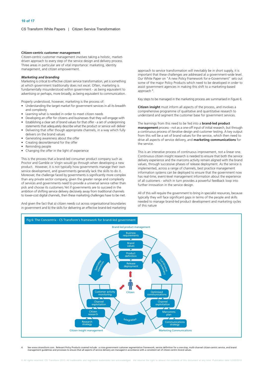#### Citizen-centric customer management

Citizen-centric customer management involves taking a holistic, marketdriven approach to every step of the service design and delivery process. Three areas in particular are of vital importance: marketing, identity management, and citizen empowerment.

#### **Marketing and branding**

Marketing is critical to effective citizen service transformation, yet is something at which government traditionally does not excel. Often, marketing is fundamentally misunderstood within government - as being equivalent to advertising or perhaps, more broadly, as being equivalent to communication.

Properly understood, however, marketing is the process of:

- Understanding the target market for government services in all its breadth and complexity
- Learning what is needed in order to meet citizen needs
- Developing an offer for citizens and businesses that they will engage with
- Establishing a clear set of brand values for that offer a set of underpinning
- statements that adequately describe what the product or service will deliver • Delivering that offer though appropriate channels, in a way which fully
- delivers on the brand values • Generating awareness about the offer
- Creating desire/demand for the offer
- Reminding people
- Changing the offer in the light of experience

This is the process that a brand-led consumer product company such as Proctor and Gamble or Virgin would go through when developing a new product. However, it is not typically how governments manage their own service development, and governments generally lack the skills to do it. Moreover, the challenge faced by governments is significantly more complex than any private sector company, given the greater range and complexity of services and governments need to provide a universal service rather than pick and choose its customers. Yet if governments are to succeed in the ambition of shifting service delivery decisively away from traditional channels to lower-cost digital channels, then these marketing challenges have to be met.

And given the fact that a) citizen needs cut across organisational boundaries in government and b) the skills for delivering an effective brand-led marketing approach to service transformation will inevitably be in short supply, it is important that these challenges are addressed at a government-wide level. Our White Paper on "A new Policy Framework for e-Government" sets out some of the major Policy Products which need to be developed in order to assist government agencies in making this shift to a marketing-based approach<sup>4</sup>.

Key steps to be managed in the marketing process are summarised in Figure 6.

Citizen insight must inform all aspects of the process, and involves a comprehensive programme of qualitative and quantitative research to understand and segment the customer base for government services.

The learnings from this need to be fed into a **brand-led product** management process - not as a one-off input of initial research, but through a continuous process of iterative design and customer testing. A key output from this will be a set of brand values for the service, which then need to drive all aspects of service delivery, and marketing communications for the service

This is an interative process of continuous improvement not a linear one Continuous citizen insight research is needed to ensure that both the service delivery experience and the marcoms activity remain aligned with the brand values, through successive phases of release deployment. As the service is implemented, across a range of channels, best practice management information systems can be deployed to ensure that the government now has real-time, event-level management information about the experience of all customers - which in turn provides a powerful feedback loop into further innovation in the service design.

All of this will require the government to bring in specialist resources, because typically they will face significant gaps in terms of the people and skills needed to manage brand-led product development and marketing cycles of this nature



See www.cstransform.com. Relevant Policy Products covered include: a cross-government customer segmentation framework, service definition for a one-stop, multi-channel citizen-centric service, and brand<br>management guidelin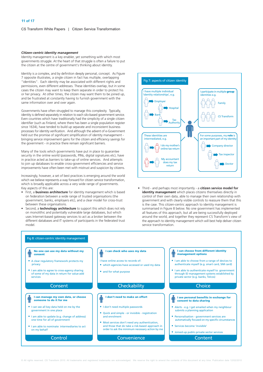#### Citizen-centric identity management

Identity management is a key enabler, yet something with which most governments struggle. At the heart of that struggle is often a failure to put the citizen at the centre of government's thinking about identity.

Identity is a complex, and by definition deeply personal, concept. As Figure 7 opposite illustrates, a single citizen in fact has multiple, overlapping "identities". Each identity may be associated with different rights and permissions, even different addresses. These identities overlap, but in some cases the citizen may want to keep them separate in order to protect his or her privacy. At other times, the citizen may want them to be joined up, and be frustrated at constantly having to furnish government with the same information over and over again.

Governments have often struggled to manage this complexity. Typically, identity is defined separately in relation to each silo-based government service. Even countries which have traditionally had the simplicity of a single citizen identifier (such as Finland, where there has been a single population register since 1634), have tended to build up separate and inconsistent business processes for identity verification. And although the advent of e-Government held out the promise of significant simplification of identity management bringing service improvement gains for the citizen and efficiency savings for the government - in practice there remain significant barriers.

Many of the tools which governments have put in place to quarantee security in the online world (passwords, PINs, digital signatures etc), have in practice acted as barriers to take-up of online services. And attempts to join up databases to enable cross-government efficiencies and service improvements have often been met with mistrust and suspicion by citizens.

Increasingly, however, a set of best practices is emerging around the world which we believe represents a way forward for citizen service transformation, which is broadly applicable across a very wide range of governments. Key aspects of this are:

- First, a **business architecture** for identity management which is based on federation between a wide range of trusted organisations (the government, banks, employers etc), and a clear model for cross-trust between these organisations.
- Second, a **technology architecture** to support this which does not rely on monolithic and potentially vulnerable large databases, but which uses Internet-based gateway services to act as a broker between the different databases and IT systems of participants in the federated trust model



Third - and perhaps most importantly - a citizen service model for identity management which places citizens themselves directly in control of their own data, able to manage their own relationship with government and with clearly visible controls to reassure them that this is the case. This citizen-centric approach to identity management is summarised in Figure 8 below. No one government has implemented all features of this approach, but all are being successfully deployed around the world, and together they represent CS Transform's view of the approach to identity management which will best help deliver citizen service transformation

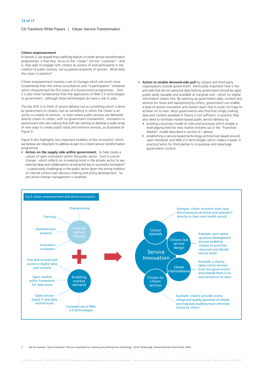#### **Citizen empowerment**

In Section 2, we argued that a defining feature of citizen service transformation programmes is that they focus on the "citizen" not the "customer" - that is, they seek to engage with citizens as owners of and participants in the creation of public services, not as passive recipients of services. What does this mean in practice?

Citizen empowerment involves a set of changes which are much more fundamental than the online consultations and "e-participation" initiatives which characterised the first wave of e-Government programmes. And it is also more fundamental than the application of Web 2.0 technologies to government - although these technologies do have a role to play.

The key shift is to think of service delivery not as something which is done by government to citizens, but as something in which the citizen is an active co-creator of services - or even where public services are delivered directly citizen to citizen, with no government involvement. Innovators in government who are making that shift are starting to develop a wide range of new ways to create public value and enhance services, as illustrated at Figure 9.

Figure 9 also highlights two important enablers of this innovation, which we believe are important to address as part of a citizen service transformation programme:

- Action on the supply side within government, to help create a culture of open innovation within the public sector. Such a culture change - which reflects an increasing trend in the private sector to see external ideas and collaborations as being the key to successful innovation<sup>5</sup> - is particularly challenging in the public sector given the strong tradition of internal control over decision-making and policy development. So pro-active change management is essential.
- Action to enable demand-side pull by citizens and third party organisations outside government. Particularly important here is the principle that all non-personal data held by government should be open, public easily reusable and available at marginal cost - which for digital information means free. By opening up government data, content and services for reuse and repurposing by others, government can enable a level of service innovation and market reach that it could not hope to achieve on its own. Most governments also find that simply making data and content available in theory is not sufficient: in practice they also need to facilitate market-based public service delivery by:
	- building a business model of rules and processes which enable a level-playing field for new market entrants (as in the "Franchise Market" model described in section 4.1 above)
	- establishing a service-based technology architecture based around open standards and Web 2.0 technologies which makes it easier in practical terms for third parties to re-purpose and repackage government content.



See for example "Open Innovation: The new imperative for creating and profiting from technology", (H.W. Chesbrough, Harvard Business School Press, 2003)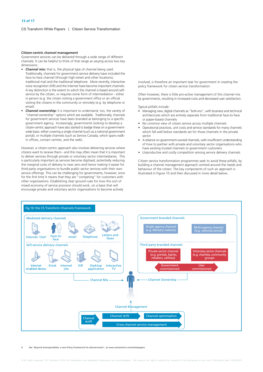#### Citizen-centric channel management

Government services can be delivered through a wide range of different channels. It can be helpful to think of that range as varying across two key dimensions:

- **Channel mix:** that is, the physical type of channel being used. Traditionally, channels for government service delivery have included the face-to-face channel (through high-street and other locations), traditional mail and the traditional telephone. More recently, interactive voice recognition (IVR) and the Internet have become important channels A key distinction is the extent to which the channel is based around selfservice by the citizen, or requires some form of intermediation - either in person (e.g. the citizen visiting a government office or an official visiting the citizens in the community or remotely (e.g. by telephone or email)
- **Channel ownership:** it is important to understand, too, the variety of "channel ownership" options which are available. Traditionally, channels for government services have been branded as belonging to a specific government agency. Increasingly, governments looking to develop a citizen-centric approach have also started to badge these on a governmentwide basis: either covering a single channel (such as a national government portal), or multiple channels (such as Service Canada, which spans walkin offices, contact centres, and the web).

However, a citizen-centric approach also involves delivering services where citizens want to receive them - and this may often mean that it is important to deliver services through private or voluntary sector intermediaries. This is particularly important as services become digitised, potentially reducing the marginal costs of delivery to near zero and hence making it easier for third party organisations to bundle public sector services with their own service offerings. This can be challenging for governments, however, since for the first time it means that they are "competing" for customers with other organisations. Establishing clear ground rules for how this sort of mixed economy of service provision should work, on a basis that will encourage private and voluntary sector organisations to become actively

involved, is therefore an important task for government in creating the policy framework for citizen service transformation.

Often however, there is little pro-active management of this channel mix by governments, resulting in increased costs and decreased user satisfaction.

Typical pitfalls include:

- Managing new, digital channels as "bolt-ons", with business and technical architectures which are entirely separate from traditional face-to-face or paper-based channels
- No common view of citizen service across multiple channels
- Operational practices, unit costs and service standards for many channels which fall well below standards set for those channels in the private sector
- A reliance on government-owned channels, with insufficient understanding of how to partner with private and voluntary sector organisations who have existing trusted channels to government customers
- Unproductive and costly competition among service delivery channels

Citizen service transformation programmes seek to avoid these pitfalls, by building a channel management approach centred around the needs and behaviour of the citizen. The key components of such an approach is illustrated in Figure 10 and then discussed in more detail below.



"Beyond Interoperability: a new Policy Framework for eGovernment", at www.cstransform.com/whitepapers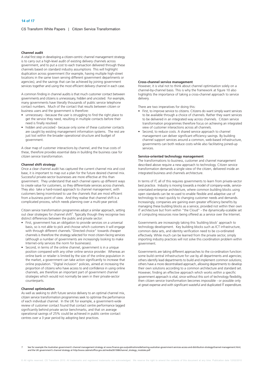#### Channel audit

A vital first step in developing a citizen-centric channel management strategy is to carry out a high-level audit of existing delivery channels across government, and to put a cost to each transaction delivered through these channels based on standard industry assumptions This will highlight duplication across government (for example, having multiple high-street locations in the same town serving different government departments or agencies), and the savings that can be achieved by joining government services together and using the most efficient delivery channel in each case.

A common finding in channel audits is that much customer contact between governments and citizens is unnecessary, hidden and uncosted. For example, many governments have literally thousands of public service telephone contact numbers. Much of the contact that results between citizen or business users and the government is therefore:

- unnecessary because the user is struggling to find the right place to get the service they need, resulting in multiple contacts before their need is finally resolved
- hidden and uncosted because only some of these customer contacts are caught by existing management information systems. The rest are just lost within the broader operational structure and budget of aovernment.

A clear map of customer interactions by channel, and the true costs of these, therefore provides essential data in building the business case for citizen service transformation.

#### **Channel shift strategy**

Once a clear channel audit has captured the current channel mix and cost base, it is important to map out a plan for the future desired channel mix. Successful private-sector businesses are more effective at this than government. They understand that each channel opens up different ways to create value for customers, so they differentiate services across channels. They also take a hard-nosed approach to channel management, with customers being incentivised to use the channels that are most efficient from a business point of view. And they realise that channel shift is a complicated process, which needs planning over a multi-year period.

Citizen service transformation programmes adopt a similar approach, setting out clear strategies for channel shift<sup>7</sup>. Typically though they recognise two distinct differences between the public and private sector:

- First, government has an obligation to provide services on a universal basis, so is not able to pick and choose which customers it will engage with through different channels. "Directed choice" towards cheaper channels is therefore the strategy selected for most citizen-facing services (although a number of governments are increasingly looking to make Internet-only services the norm for businesses).
- Second, in terms of the online channel, government is in a unique position compared with any other online service provider. Whereas an online bank or retailer is limited by the size of the online population in the market, a government can take action significantly to increase that online population. "Digital inclusion" policies, aimed at increasing the proportion of citizens who have access to and confidence in using online channels, are therefore an important part of government channel strategies which would not normally be seen in their private-sector counterparts.

#### **Channel optimisation**

As well as seeking to shift future service delivery to an optimal channel mix, citizen service transformation programmes seek to optimise the performance of each individual channel. In the UK for example, a government-wide review of customer contact found that contact centre performance lagged significantly behind private sector benchmarks, and that on average operational savings of 25% could be achieved in public centre contact centres over a 3 year period by adopting best practices.

#### **Cross-channel service management**

However, it is vital not to think about channel optimisation solely on a channel-by-channel basis. This is why the framework at figure 10 also highlights the importance of taking a cross-channel approach to service delivery.

There are two imperatives for doing this:

- First, to improve service to citizens. Citizens do want simply want services to be available through a choice of channels. Rather they want services to be delivered in an integrated way across channels. Citizen service transformation programmes therefore focus on achieving an integrated view of customer interactions across all channels.
- Second, to reduce costs. A shared service approach to channel management can deliver significant efficiency savings. By building channel support services around a common, web-based infrastructure, aovernments can both reduce costs while also facilitating joined-up services.

#### Service-oriented technology management

The transformations to business, customer and channel management described above require a new approach to technology. Citizen service transformation demands a single view of the citizen. delivered inside an integrated business and channels architecture.

In terms of IT, all of this requires governments to learn from private-sector best practice. Industry is moving towards a model of company-wide, serviceorientated enterprise architecture, where common building blocks using open standards can be re-used to enable flexible and adaptive use of technology to react quickly to changing customer needs and demands. Increasingly, companies are gaining even greater efficiency benefits by managing these building blocks as a service, provided not within their own IT architecture but from within "the Cloud" - the dynamically-scalable set of computing resources now being offered as a service over the Internet.

Governments are increasingly taking this 'building block' approach to technology development. Key building blocks such as ICT infrastructure, common data sets, and identity verification need to be co-ordinated effectively. While much can be learned from the private sector, simply importing industry practices will not solve this coordination problem within government.

Governments are taking different approaches to the co-ordination function: some build central infrastructure for use by all departments and agencies; others identify lead departments to build and implement common solutions; others have a more decentralised approach, allowing departments to develop their own solutions according to a common architecture and standard set. However, finding an effective approach which works within a specific government approach is vital, since without this sort of technology flexibility, then citizen service transformation becomes impossible - or possible only at great expense and with significant wasteful and duplicated IT expenditure.

See for example the Australian government's channel management strategy at www.finance.gov.au/publications/delivering-australian-government-services-access-and-distribution-strategy/channel-management.html, and the UK government's channel strategy at http://www.cabinetoffice.gov.uk/media/261368/channel\_strategy\_modules.pdf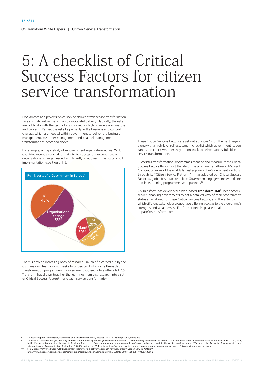# 5: A checklist of Critical Success Factors for citizen service transformation

Programmes and projects which seek to deliver citizen service transformation face a significant range of risks to successful delivery. Typically, the risks are not to do with the technology involved - which is largely now mature and proven. Rather, the risks lie primarily in the business and cultural changes which are needed within government to deliver the business management, customer management and channel management transformations described above.

For example, a major study of e-government expenditure across 25 EU countries recently concluded that - to be successful - expenditure on organisational change needed significantly to outweigh the costs of ICT implementation (see Figure 11).



There is now an increasing body of research - much of it carried out by the CS Transform team - which seeks to understand why some IT-enabled transformation programmes in government succeed while others fail. CS Transform has drawn together the learnings from this research into a set of Critical Success Factors<sup>9</sup> for citizen service transformation.

These Critical Success Factors are set out at Figure 12 on the next page along with a high-level self-assessment checklist which government leaders can use to check whether they are on track to deliver successful citizen service transformation.

Successful transformation programmes manage and measure these Critical Success Factors throughout the life of the programme. Already, Microsoft Corporation – one of the world's largest suppliers of e-Government solutions, through its "Citizen Service Platform" - has adopted our Critical Success Factors as global best practice in its e-Government engagements with clients and in its training programmes with partners<sup>10</sup>.

CS Transform has developed a web-based Transform 360° healthcheck service, enabling governments to get a detailed view of their programme's status against each of these Critical Success Factors, and the extent to which different stakeholder groups have differing views as to the programme's strengths and weaknesses. For further details, please email impact@cstransform.com

Source: European Commission, Economics of eGovernment Project, http://82.187.13.175/egep/asp/E\_Home.asp<br>Source: CS Transform analysis, drawing on research published by the UK government ("Successful IT: Modernizing Governm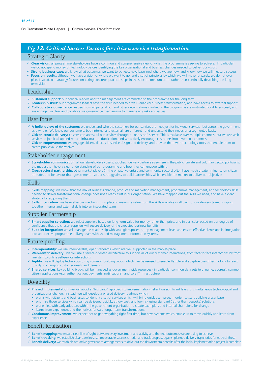# Fig 12: Critical Success Factors for citizen service transformation

# Strategic Clarity

- ✓ Clear vision: all programme stakeholders have a common and comprehensive view of what the programme is seeking to achieve. In particular, we do not spend money on technology before identifying the key organisational and business changes needed to deliver our vision.
- √ Strong business case: we know what outcomes we want to achieve, have baselined where we are now, and know how we will measure success. **∕ Focus on results:** although we have a vision of where we want to go, and a set of principles by which we will move forwards, we do not over-
- plan. Instead, our strategy focuses on taking concrete, practical steps in the short to medium term, rather than continually describing the longterm vision

## Leadership

- ✔ Sustained support: our political leaders and top management are committed to the programme for the long term.
- ► Leadership skills: our programme leaders have the skills needed to drive IT-enabled business transformation, and have access to external support √ Collaborative governance: leaders from all parts of our and other organisations involved in the programme are motivated for it to succeed, and are engaged in clear and collaborative governance mechanisms to manage any risks and issues.

## **I** Iser focus

- √ A holistic view of the customer: we understand who the customers for our services are not just for individual services but across the government as a whole. We know our customers, both internal and external, are different - and understand their needs on a segmented basis
- Citizen-centric delivery: citizens can access all our services through a "one-stop" service. This is available over multiple channels, but we use web services to join it all up and reduce infrastructure duplication, and we actively encourage customers into lower cost channels
- **V** Citizen empowerment: we engage citizens directly in service design and delivery, and provide them with technology tools that enable them to create public value themselves.

# Stakeholder engagement

- √ Stakeholder communication: all our stakeholders users, suppliers, delivery partners elsewhere in the public, private and voluntary sector, politicians, the media etc - have a clear understanding of our programme and how they can engage with it.
- √ Cross-sectoral partnership: other market players (in the private, voluntary and community sectors) often have much greater influence on citizen attitudes and behaviour than government - so our strategy aims to build partnerships which enable the market to deliver our objectives.

# Skills

- ✓ Skills mapping: we know that the mix of business change, product and marketing management, programme management, and technology skills needed to deliver transformational change does not already exist in our organisation. We have mapped out the skills we need, and have a clear strategy for acquiring them.
- $\checkmark$  Skills integration: we have effective mechanisms in place to maximise value from the skills available in all parts of our delivery team, bringing together internal and external skills into an integrated team.

# Supplier Partnership

- √ Smart supplier selection: we select suppliers based on long-term value for money rather than price, and in particular based on our degree of confidence that the chosen suppliers will secure delivery of the expected business benefits
- Supplier integration: we will manage the relationship with strategic suppliers at top management level, and ensure effective client/supplier integration into an effective programme delivery team with shared management information systems.

## Future-proofing

- √ Interoperability: we use interoperable, open standards which are well supported in the market-place.
- Web-centric delivery: we will use a service-oriented architecture to support all of our customer interactions, from face-to-face interactions by front line staff to online self-service interactions
- ✓ Agility: we will deploy technology using common building blocks which can be re-used to enable flexible and adaptive use of technology to react quickly to changing customer needs and demands.
- Shared services: key building blocks will be managed as government-wide resources in particular common data sets (e.g. name, address); common citizen applications (e.g. authentication, payments, notifications); and core IT infrastructure.

# Do-ability

- √ Phased implementation: we will avoid a "big bang" approach to implementation, reliant on significant levels of simultaneous technological and organisational change. Instead, we will develop a phased delivery roadmap which:
	- works with citizens and businesses to identify a set of services which will bring quick user value, in order to start building a user base
	- prioritise those services which can be delivered quickly, at low cost, and low risk using standard (rather than bespoke) solutions
	- works first with early adopters within the government organisation to create exemplars and internal champions for change
	- learns from experience, and then drives forward longer term transformations.
- **ight** Continuous improvement: we expect not to get everything right first time, but have systems which enable us to move quickly and learn from experience

# **Benefit Realisation**

- ► Benefit mapping: we ensure clear line of sight between every investment and activity and the end outcomes we are trying to achieve
- Genefit tracking: we establish clear baselines, set measurable success criteria, and track progress against planned delivery trajectories for each of these ► Benefit delivery: we establish pro-active governance arrangements to drive out the downstream benefits after the initial implementation project is complete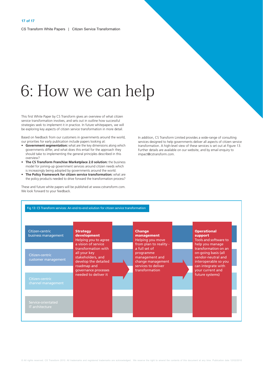# 6: How we can help

This first White Paper by CS Transform gives an overview of what citizen service transformation involves, and sets out in outline how successful strategies seek to implement it in practice. In future whitepapers, we will be exploring key aspects of citizen service transformation in more detail.

Based on feedback from our customers in governments around the world, our priorities for early publication include papers looking at:

- Government segmentation: what are the key dimensions along which governments differ, and what does this entail for the approach they should take to implementing the general principles described in this overview?
- The CS Transform Franchise Marketplace 2.0 solution: the business model for joining-up government services around citizen needs which is increasingly being adopted by governments around the world.
- The Policy Framework for citizen service transformation: what are the policy products needed to drive forward the transformation process?

These and future white papers will be published at www.cstransform.com. We look forward to your feedback.

In addition, CS Transform Limited provides a wide-range of consulting services designed to help governments deliver all aspects of citizen service transformation. A high-level view of these services is set out at Figure 13. Further details are available on our website, and by email enquiry to impact@cstransform.com.

| Citizen-centric<br>business management | <b>Strategy</b><br>development<br>Helping you to agree<br>a vision of service                   | <b>Change</b><br>management<br>Helping you move<br>from plan to reality -                | <b>Operational</b><br>support<br>Tools and software to<br>help you manage                                       |
|----------------------------------------|-------------------------------------------------------------------------------------------------|------------------------------------------------------------------------------------------|-----------------------------------------------------------------------------------------------------------------|
| Citizen-centric<br>customer management | transformation with<br>all your key<br>stakeholders, and<br>develop the detailed<br>roadmap and | a full set of<br>programme<br>management and<br>change management<br>services to deliver | transformation on an<br>on-going basis (all<br>vendor-neutral and<br>interoperable so you<br>can integrate with |
| Citizen-centric<br>channel management  | governance processes<br>needed to deliver it                                                    | transformation                                                                           | your current and<br>future systems)                                                                             |
| Service-orientated<br>IT architecture  |                                                                                                 |                                                                                          |                                                                                                                 |